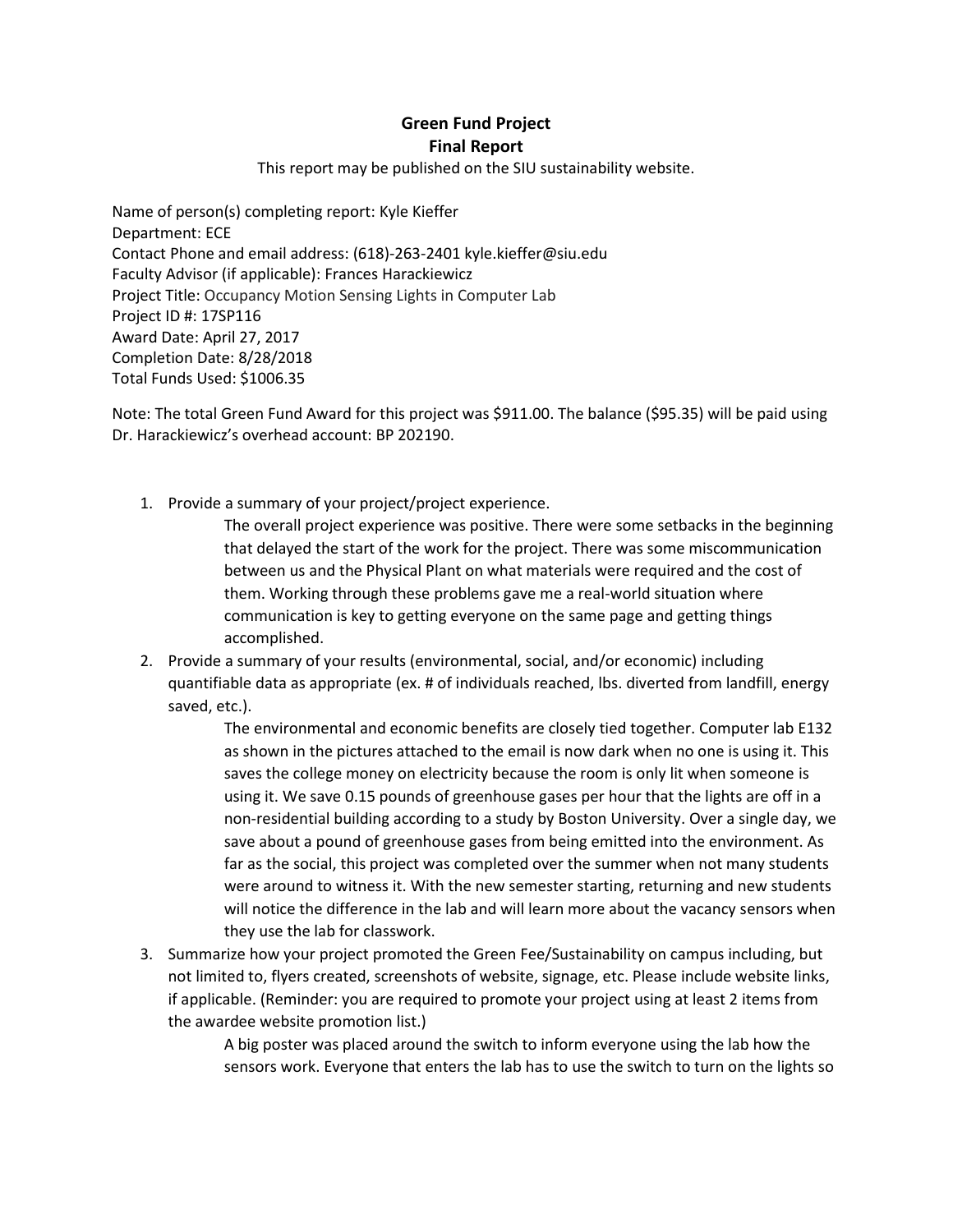## **Green Fund Project Final Report**

This report may be published on the SIU sustainability website.

Name of person(s) completing report: Kyle Kieffer Department: ECE Contact Phone and email address: (618)-263-2401 kyle.kieffer@siu.edu Faculty Advisor (if applicable): Frances Harackiewicz Project Title: Occupancy Motion Sensing Lights in Computer Lab Project ID #: 17SP116 Award Date: April 27, 2017 Completion Date: 8/28/2018 Total Funds Used: \$1006.35

Note: The total Green Fund Award for this project was \$911.00. The balance (\$95.35) will be paid using Dr. Harackiewicz's overhead account: BP 202190.

1. Provide a summary of your project/project experience.

The overall project experience was positive. There were some setbacks in the beginning that delayed the start of the work for the project. There was some miscommunication between us and the Physical Plant on what materials were required and the cost of them. Working through these problems gave me a real-world situation where communication is key to getting everyone on the same page and getting things accomplished.

2. Provide a summary of your results (environmental, social, and/or economic) including quantifiable data as appropriate (ex. # of individuals reached, lbs. diverted from landfill, energy saved, etc.).

> The environmental and economic benefits are closely tied together. Computer lab E132 as shown in the pictures attached to the email is now dark when no one is using it. This saves the college money on electricity because the room is only lit when someone is using it. We save 0.15 pounds of greenhouse gases per hour that the lights are off in a non-residential building according to a study by Boston University. Over a single day, we save about a pound of greenhouse gases from being emitted into the environment. As far as the social, this project was completed over the summer when not many students were around to witness it. With the new semester starting, returning and new students will notice the difference in the lab and will learn more about the vacancy sensors when they use the lab for classwork.

3. Summarize how your project promoted the Green Fee/Sustainability on campus including, but not limited to, flyers created, screenshots of website, signage, etc. Please include website links, if applicable. (Reminder: you are required to promote your project using at least 2 items from the awardee website promotion list.)

> A big poster was placed around the switch to inform everyone using the lab how the sensors work. Everyone that enters the lab has to use the switch to turn on the lights so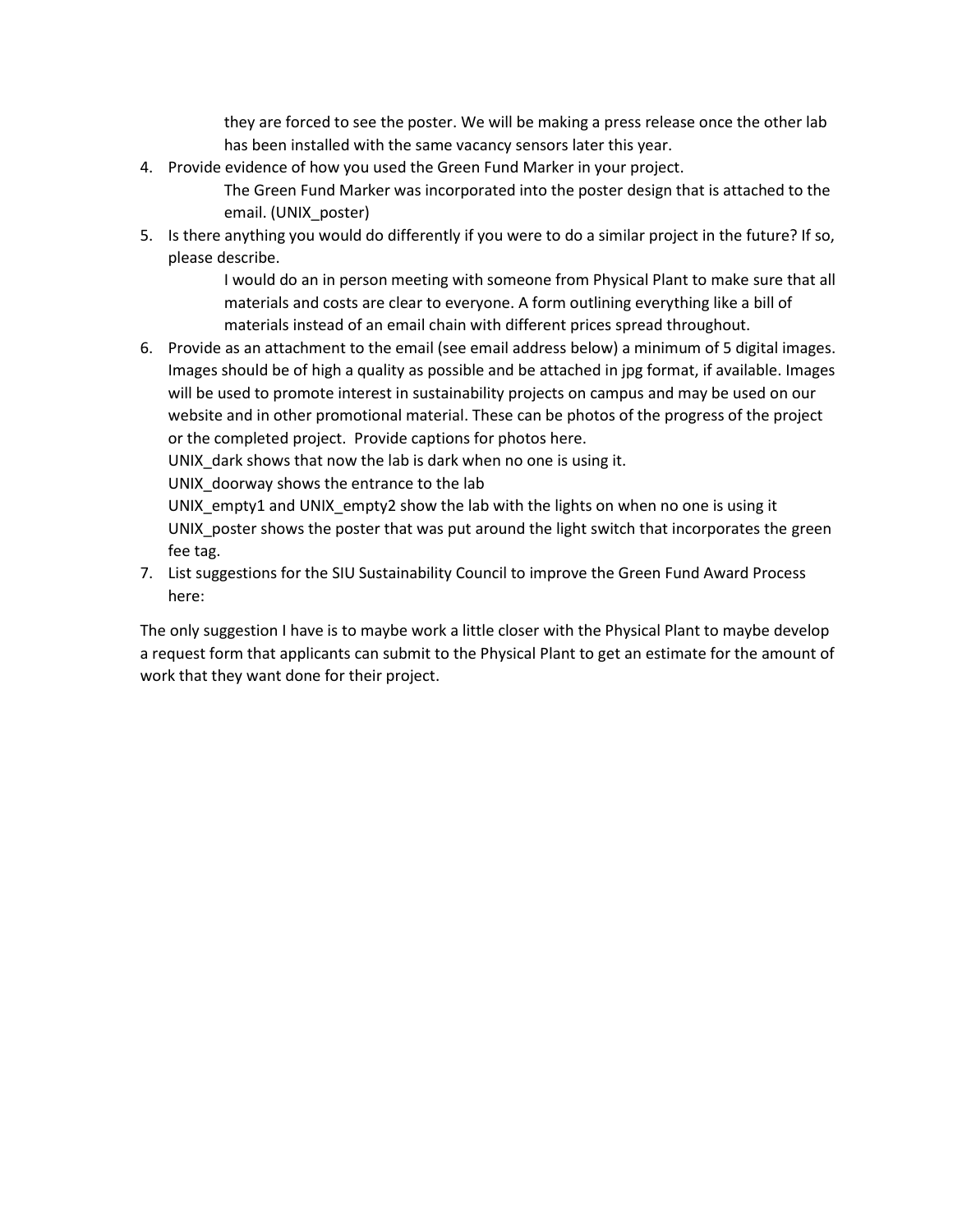they are forced to see the poster. We will be making a press release once the other lab has been installed with the same vacancy sensors later this year.

4. Provide evidence of how you used the Green Fund Marker in your project.

The Green Fund Marker was incorporated into the poster design that is attached to the email. (UNIX\_poster)

5. Is there anything you would do differently if you were to do a similar project in the future? If so, please describe.

> I would do an in person meeting with someone from Physical Plant to make sure that all materials and costs are clear to everyone. A form outlining everything like a bill of materials instead of an email chain with different prices spread throughout.

6. Provide as an attachment to the email (see email address below) a minimum of 5 digital images. Images should be of high a quality as possible and be attached in jpg format, if available. Images will be used to promote interest in sustainability projects on campus and may be used on our website and in other promotional material. These can be photos of the progress of the project or the completed project. Provide captions for photos here.

UNIX\_dark shows that now the lab is dark when no one is using it.

UNIX\_doorway shows the entrance to the lab

UNIX empty1 and UNIX empty2 show the lab with the lights on when no one is using it UNIX\_poster shows the poster that was put around the light switch that incorporates the green fee tag.

7. List suggestions for the SIU Sustainability Council to improve the Green Fund Award Process here:

The only suggestion I have is to maybe work a little closer with the Physical Plant to maybe develop a request form that applicants can submit to the Physical Plant to get an estimate for the amount of work that they want done for their project.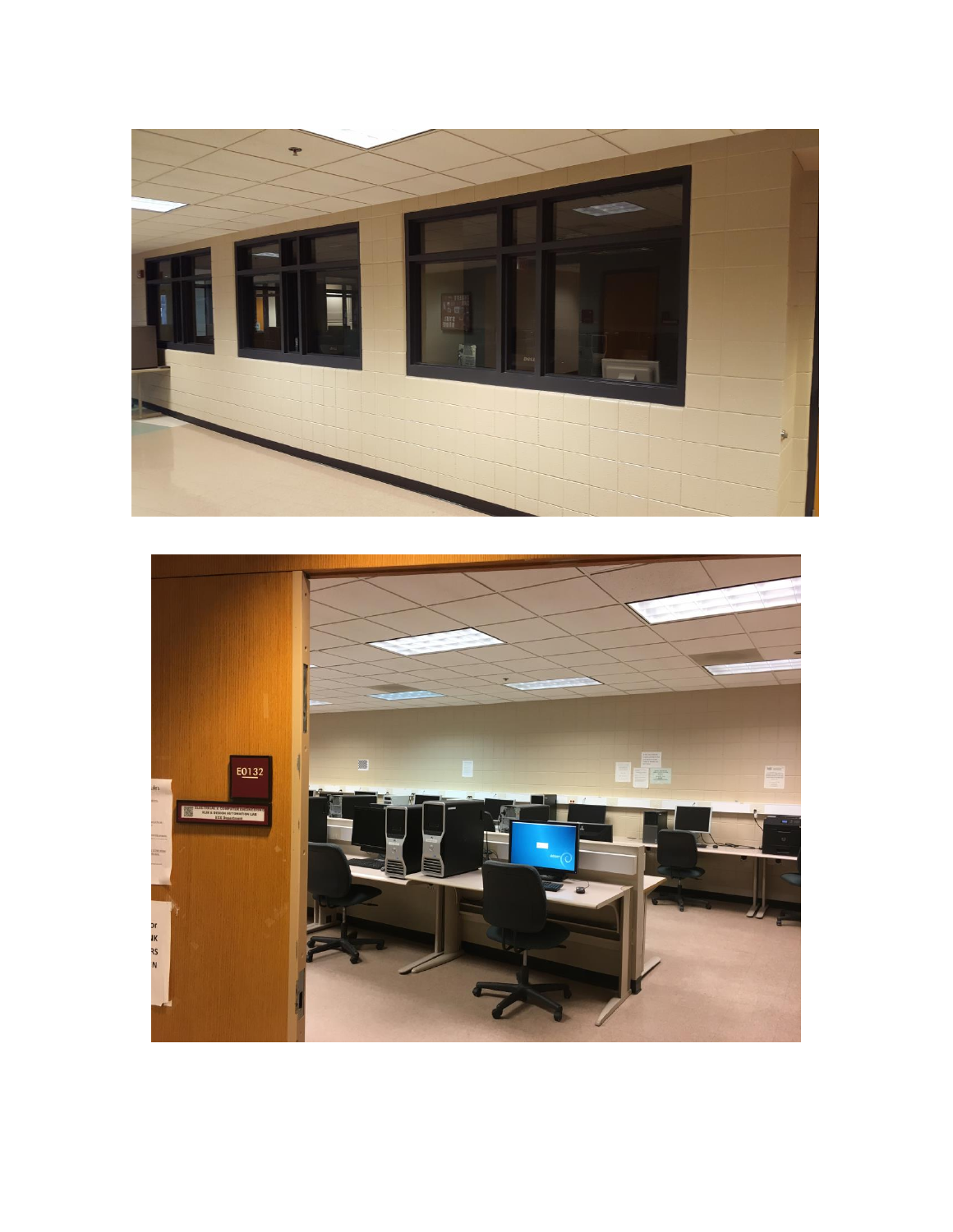